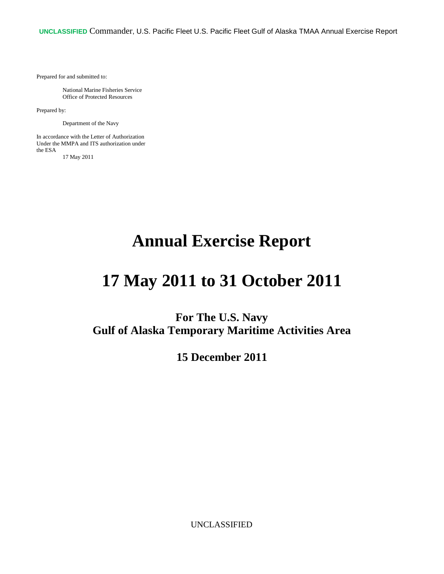**UNCLASSIFIED** Commander, U.S. Pacific Fleet U.S. Pacific Fleet Gulf of Alaska TMAA Annual Exercise Report

Prepared for and submitted to:

National Marine Fisheries Service Office of Protected Resources

Prepared by:

Department of the Navy

In accordance with the Letter of Authorization Under the MMPA and ITS authorization under the ESA

17 May 2011

# **Annual Exercise Report**

# **17 May 2011 to 31 October 2011**

**For The U.S. Navy Gulf of Alaska Temporary Maritime Activities Area**

**15 December 2011**

UNCLASSIFIED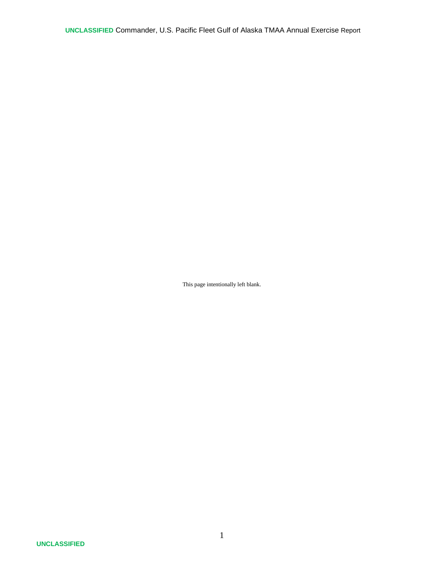This page intentionally left blank.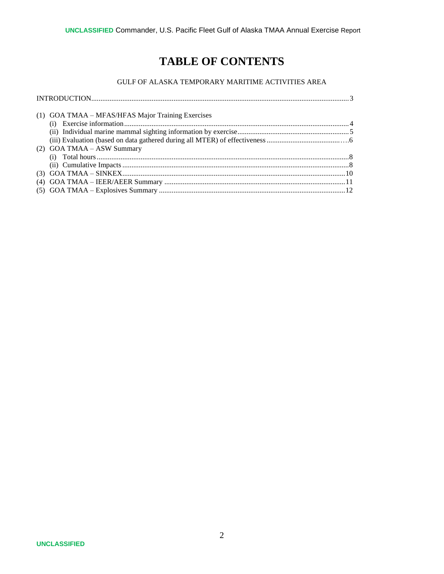# **TABLE OF CONTENTS**

#### GULF OF ALASKA TEMPORARY MARITIME ACTIVITIES AREA

| (1) GOA TMAA – MFAS/HFAS Major Training Exercises |  |
|---------------------------------------------------|--|
|                                                   |  |
|                                                   |  |
|                                                   |  |
| (2) GOA TMAA - ASW Summary                        |  |
|                                                   |  |
|                                                   |  |
|                                                   |  |
|                                                   |  |
|                                                   |  |
|                                                   |  |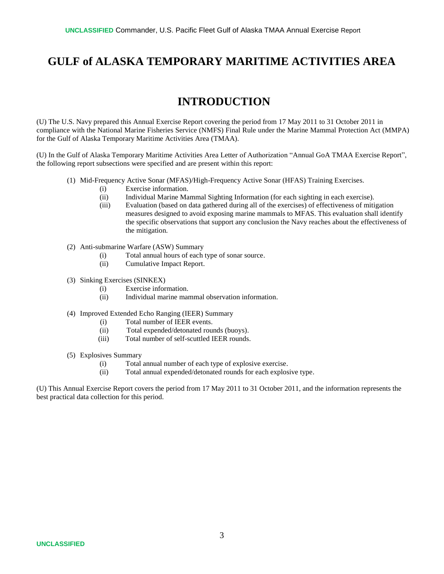# **GULF of ALASKA TEMPORARY MARITIME ACTIVITIES AREA**

# **INTRODUCTION**

(U) The U.S. Navy prepared this Annual Exercise Report covering the period from 17 May 2011 to 31 October 2011 in compliance with the National Marine Fisheries Service (NMFS) Final Rule under the Marine Mammal Protection Act (MMPA) for the Gulf of Alaska Temporary Maritime Activities Area (TMAA).

(U) In the Gulf of Alaska Temporary Maritime Activities Area Letter of Authorization "Annual GoA TMAA Exercise Report", the following report subsections were specified and are present within this report:

- (1) Mid-Frequency Active Sonar (MFAS)/High-Frequency Active Sonar (HFAS) Training Exercises.
	- (i) Exercise information.
	- (ii) Individual Marine Mammal Sighting Information (for each sighting in each exercise).
	- (iii) Evaluation (based on data gathered during all of the exercises) of effectiveness of mitigation measures designed to avoid exposing marine mammals to MFAS. This evaluation shall identify the specific observations that support any conclusion the Navy reaches about the effectiveness of the mitigation.
- (2) Anti-submarine Warfare (ASW) Summary
	- (i) Total annual hours of each type of sonar source.
	- (ii) Cumulative Impact Report.
- (3) Sinking Exercises (SINKEX)
	- (i) Exercise information.
	- (ii) Individual marine mammal observation information.
- (4) Improved Extended Echo Ranging (IEER) Summary
	- (i) Total number of IEER events.
	- (ii) Total expended/detonated rounds (buoys).
	- (iii) Total number of self-scuttled IEER rounds.
- (5) Explosives Summary
	- (i) Total annual number of each type of explosive exercise.
	- (ii) Total annual expended/detonated rounds for each explosive type.

(U) This Annual Exercise Report covers the period from 17 May 2011 to 31 October 2011, and the information represents the best practical data collection for this period.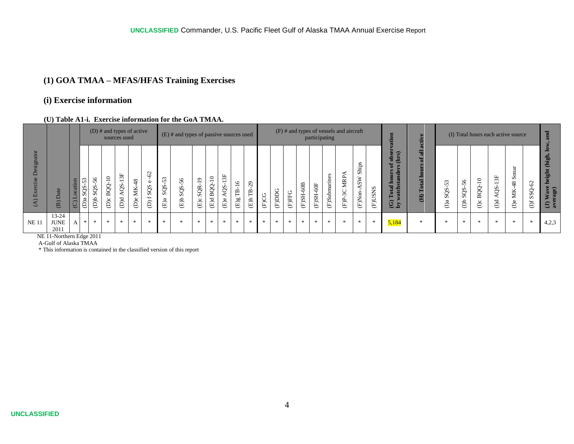# **(1) GOA TMAA – MFAS/HFAS Training Exercises**

## **(i) Exercise information**

#### **(U) Table A1-i. Exercise information for the GoA TMAA.**

|              |                                  | $(D)$ # and types of active<br>sources used |                  |                                 |                                                               |                                                       |                                              | $(E)$ # and types of passive sources used                                     |                                         |                                    |                                                      |                                                               | $(F)$ # and types of vessels and aircraft<br>participating         |                                                           |                                                            |                      |                |                  |                 | <u>G</u>                              | $\omega$<br>activ                                |                |                               |             | (I) Total hours each active source                                                                                                           |                                                                  |                                              | 묨                                                                |                                                                                              |                                                          |                                         |                                               |                      |
|--------------|----------------------------------|---------------------------------------------|------------------|---------------------------------|---------------------------------------------------------------|-------------------------------------------------------|----------------------------------------------|-------------------------------------------------------------------------------|-----------------------------------------|------------------------------------|------------------------------------------------------|---------------------------------------------------------------|--------------------------------------------------------------------|-----------------------------------------------------------|------------------------------------------------------------|----------------------|----------------|------------------|-----------------|---------------------------------------|--------------------------------------------------|----------------|-------------------------------|-------------|----------------------------------------------------------------------------------------------------------------------------------------------|------------------------------------------------------------------|----------------------------------------------|------------------------------------------------------------------|----------------------------------------------------------------------------------------------|----------------------------------------------------------|-----------------------------------------|-----------------------------------------------|----------------------|
| signato<br>凹 | $\widehat{\mathbf{B}}$           | $\sigma$<br>$\odot$                         | 53<br>SQS.<br>Da | 6<br>5<br>$\infty$<br>w<br>d(d) | $\circ$<br>$\overline{\phantom{0}}$<br>ġ<br>$\mathbf{r}$<br>ē | 3F<br>$\overline{\phantom{0}}$<br>$\infty$<br>≺<br>pd | ≆<br>Ř<br>Φ<br>$\overline{\phantom{1}}$<br>ê | $\mathcal{S}$<br>$\omega$<br>SQS<br>$\overline{\phantom{0}}$<br>$\widehat{e}$ | $\omega$<br>S.<br>SQ <sub>S</sub><br>Ea | 56<br>SQS.<br>$\widehat{\boxplus}$ | $\circ$<br>$\div$<br>SQR<br>$\bigoplus^{\mathsf{C}}$ | $\circ$<br>$\overline{\phantom{0}}$<br>BQQ-<br>$\mathbb{E}$ d | 3F<br>$\overline{\phantom{0}}$<br>AQS-<br>$\bigoplus^{\mathsf{D}}$ | $\overline{5}$<br>Ê<br>$\mathfrak{g}_{\text{\tiny{(E)}}}$ | $\sigma$<br>$\sim$<br>$\overline{\phantom{0}}$<br>$\oplus$ | $\sim$ 100<br>ب<br>ě | $r -$<br>(F)DD | <b>JEEC</b><br>E | 60B<br>$(F)SH-$ | $60\mathrm{F}$<br>$F$ <sub>ISH-</sub> | 8<br>arin<br>Е<br>음<br>$\tilde{\mathbf{z}}$<br>E | Ę<br>∽<br>E)P. | $-$<br>ঈ<br>⊳<br>ά<br>(F)Non- | S<br>(F)USN | (hrs)<br>$\frac{1}{200}$<br>$\omega$<br>$\overline{\bullet}$<br>$\bullet$<br>hour;<br>tand<br>otal 1<br>atchs<br>wat<br>e<br>$\widetilde{G}$ | $\overline{a}$<br>$\mathbf{H}$<br>hours<br><b>otal</b><br>⊟<br>E | $\sim$<br>$\Omega$<br>sQS.<br>$\mathbb{G}^a$ | $\circ$<br>$\sqrt{2}$<br>$\infty$<br>$\boldsymbol{\omega}$<br>do | $\circ$<br>$\overline{\phantom{0}}$<br>$\circ$<br>Ř<br>$\approx$<br>$\overline{\phantom{1}}$ | 3F<br>$\overline{\phantom{0}}$<br>AQS.<br>$\mathbb{B}^d$ | n<br>$\frac{8}{2}$<br>МK.<br>$\Theta$ e | $\mathcal{S}$<br>SSQ.<br>$\widetilde{\Theta}$ | (J) Wave<br>average) |
| <b>NE11</b>  | $13 - 24$<br><b>JUNE</b><br>2011 | А                                           | $\ast$           | $*$                             | $*$                                                           | $\ast$                                                | $\ast$                                       | -sk                                                                           | $*$                                     | 宋                                  | $*$                                                  | $\ast$                                                        | 家                                                                  | 宋                                                         | $*$                                                        | $*$                  | $\ast$         | $*$              | $*$             | $\ast$                                | $*$                                              | $*$            | $*$                           | $\ast$      | 5,184                                                                                                                                        | $\star$                                                          |                                              | $\ast$                                                           | $\ast$                                                                                       | 宋                                                        | $\ast$                                  | 水                                             | 4,2,3                |

NE 11-Northern Edge 2011

A-Gulf of Alaska TMAA

\* This information is contained in the classified version of this report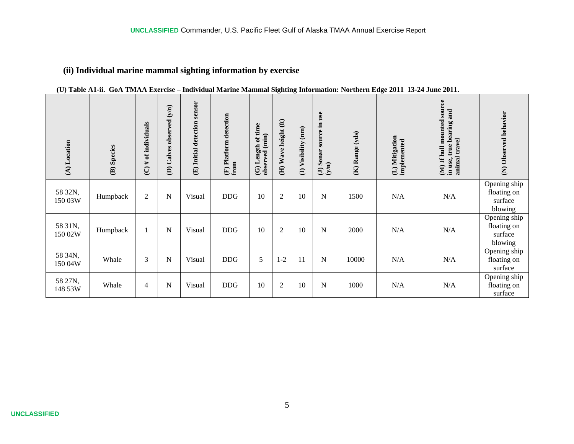## **(ii) Individual marine mammal sighting information by exercise**

| (A) Location       | (B) Species | of individuals<br>#<br>$\odot$ | $\mathbf{u}(\mathbf{A})$<br>observed<br>alves<br>$\cup$<br>$\widehat{e}$ | sensor<br>detection<br><b>Initial</b><br>$\widehat{\mathbf{E}}$ | (F) Platform detection<br>from | (G) Length of time<br>observed (min) | $\mathbf{f}$<br>Wave height<br>$\widehat{H}$ | $\binom{mm}{m}$<br>(I) Visibility | use<br>Ξ.<br>source<br>Sonar<br>$\left(\mathbf{y}/\mathbf{n}\right)$<br>$\Theta$ | (K) Range (yds) | (L) Mitigation<br>implemented | (M) If hull mounted source<br>true bearing and<br>animal travel<br>in use, | (N) Observed behavior                             |
|--------------------|-------------|--------------------------------|--------------------------------------------------------------------------|-----------------------------------------------------------------|--------------------------------|--------------------------------------|----------------------------------------------|-----------------------------------|----------------------------------------------------------------------------------|-----------------|-------------------------------|----------------------------------------------------------------------------|---------------------------------------------------|
| 58 32N,<br>150 03W | Humpback    | $\overline{2}$                 | N                                                                        | Visual                                                          | <b>DDG</b>                     | 10                                   | $\overline{2}$                               | 10                                | N                                                                                | 1500            | N/A                           | N/A                                                                        | Opening ship<br>floating on<br>surface<br>blowing |
| 58 31N,<br>150 02W | Humpback    |                                | N                                                                        | Visual                                                          | <b>DDG</b>                     | 10                                   | $\overline{2}$                               | 10                                | N                                                                                | 2000            | N/A                           | N/A                                                                        | Opening ship<br>floating on<br>surface<br>blowing |
| 58 34N,<br>150 04W | Whale       | 3                              | N                                                                        | Visual                                                          | <b>DDG</b>                     | 5                                    | $1 - 2$                                      | <sup>11</sup>                     | N                                                                                | 10000           | N/A                           | N/A                                                                        | Opening ship<br>floating on<br>surface            |
| 58 27N,<br>148 53W | Whale       | 4                              | N                                                                        | Visual                                                          | <b>DDG</b>                     | 10                                   | $\overline{2}$                               | 10                                | N                                                                                | 1000            | N/A                           | N/A                                                                        | Opening ship<br>floating on<br>surface            |

#### **(U) Table A1-ii. GoA TMAA Exercise – Individual Marine Mammal Sighting Information: Northern Edge 2011 13-24 June 2011.**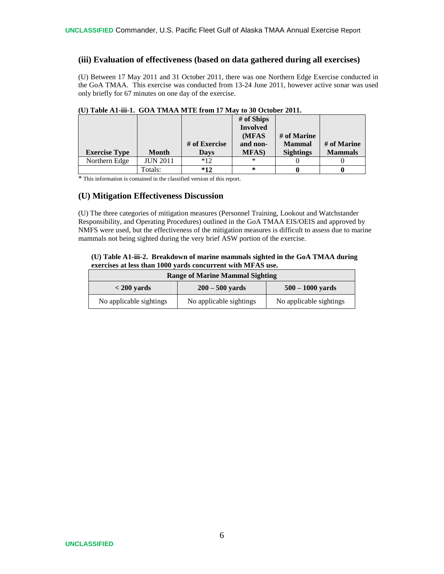#### **(iii) Evaluation of effectiveness (based on data gathered during all exercises)**

(U) Between 17 May 2011 and 31 October 2011, there was one Northern Edge Exercise conducted in the GoA TMAA. This exercise was conducted from 13-24 June 2011, however active sonar was used only briefly for 67 minutes on one day of the exercise.

|                      |                 |               | # of Ships      |                  |                |
|----------------------|-----------------|---------------|-----------------|------------------|----------------|
|                      |                 |               | <b>Involved</b> |                  |                |
|                      |                 |               | (MFAS           | # of Marine      |                |
|                      |                 | # of Exercise | and non-        | <b>Mammal</b>    | # of Marine    |
| <b>Exercise Type</b> | <b>Month</b>    | Days          | <b>MFAS</b> )   | <b>Sightings</b> | <b>Mammals</b> |
| Northern Edge        | <b>JUN 2011</b> | $*12$         | ∗               |                  |                |
|                      | Totals:         | $*12$         | *               |                  |                |

**(U) Table A1-iii-1. GOA TMAA MTE from 17 May to 30 October 2011.**

\* This information is contained in the classified version of this report.

#### **(U) Mitigation Effectiveness Discussion**

(U) The three categories of mitigation measures (Personnel Training, Lookout and Watchstander Responsibility, and Operating Procedures) outlined in the GoA TMAA EIS/OEIS and approved by NMFS were used, but the effectiveness of the mitigation measures is difficult to assess due to marine mammals not being sighted during the very brief ASW portion of the exercise.

**(U) Table A1-iii-2. Breakdown of marine mammals sighted in the GoA TMAA during exercises at less than 1000 yards concurrent with MFAS use.**

| <b>Range of Marine Mammal Sighting</b>                   |                         |                         |  |  |  |  |  |  |  |  |
|----------------------------------------------------------|-------------------------|-------------------------|--|--|--|--|--|--|--|--|
| $200 - 500$ vards<br>$500 - 1000$ vards<br>$<$ 200 vards |                         |                         |  |  |  |  |  |  |  |  |
| No applicable sightings                                  | No applicable sightings | No applicable sightings |  |  |  |  |  |  |  |  |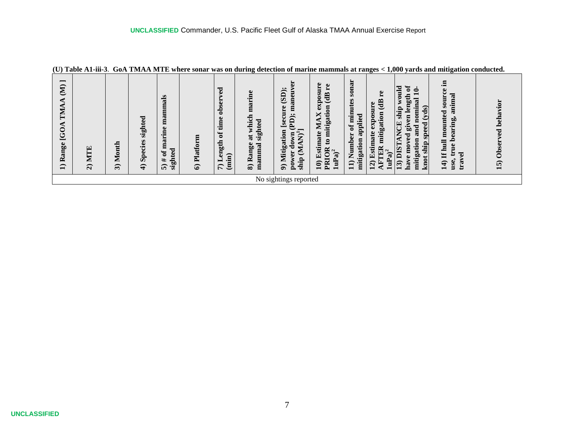| $\sim$<br>$\overline{\phantom{0}}$<br>$\mathbf{E}$<br>⋖<br>$\triangle$<br>NL<br>≺<br>[60]<br>Range<br>$\hat{=}$ | TWO IS THE OIL<br>MTE<br>$\widehat{\mathbf{a}}$ | $\sim$<br>Month<br>$\widehat{\mathbf{c}}$ | sighted<br><b>Species</b><br>$\widehat{+}$ | mammals<br>marine<br>sighted<br>$\mathbf{d}$<br>#<br>ົດ | ,,,,,,,<br>Platform<br>$\widehat{\bullet}$ | $\cdots$<br>$\mathbf{E}$<br>ð<br>$\delta$ bs<br>time<br>$\sigma$<br>ength<br>$(\min)$<br>$\blacksquare$<br>$\widehat{\kappa}$ | <u>weechana</u><br>ne<br>mari<br>which<br>sighted<br>$\ddot{a}$<br>Range<br>mammal<br>$\widehat{\infty}$ | E<br>maneuv<br>$\bullet$<br>$\overline{\mathbf{(3)}}$<br>[secure<br>$\bullet$<br>$\widetilde{\mathbf{P}}$<br>$\overline{N}^1$<br>Mitigation<br>down<br>E<br>power<br>ship<br>$\widehat{\mathbf{a}}$ | of murine mummum ut runges<br>exposure<br>re<br>$\mathbf{d}\mathbf{B}$<br>to mitigation<br>×<br>ŽД<br>Estimate<br>PRIOR<br>1uPa) <sup>2</sup><br>$\mathbf{10}$ | sonar<br>minutes<br>applied<br>$\mathfrak{h}$<br>Number<br>mitigation<br>$\hat{=}$<br>$\blacksquare$ | re<br>$\mathbf{d}\mathbf{B}$<br>exposure<br>mitigation<br>Estimate<br><b>AFTER</b><br>$1u\mathrm{Pa}^2$<br>$\overline{12}$ | ð<br>would<br>Ć<br>$\overline{\phantom{0}}$<br>length<br>nominal<br>(yds)<br>13) DISTANCE ship<br>given<br>speed<br>and<br>have moved<br>mitigation<br>ship<br>knot | .크<br>source<br>animal<br>mounted<br>bearing,<br>14) If hull<br>true<br>ಕ<br>trav<br>use, | <b>INDI</b><br>beha<br>ಕ<br>15) |
|-----------------------------------------------------------------------------------------------------------------|-------------------------------------------------|-------------------------------------------|--------------------------------------------|---------------------------------------------------------|--------------------------------------------|-------------------------------------------------------------------------------------------------------------------------------|----------------------------------------------------------------------------------------------------------|-----------------------------------------------------------------------------------------------------------------------------------------------------------------------------------------------------|----------------------------------------------------------------------------------------------------------------------------------------------------------------|------------------------------------------------------------------------------------------------------|----------------------------------------------------------------------------------------------------------------------------|---------------------------------------------------------------------------------------------------------------------------------------------------------------------|-------------------------------------------------------------------------------------------|---------------------------------|
|                                                                                                                 |                                                 |                                           |                                            |                                                         |                                            |                                                                                                                               |                                                                                                          |                                                                                                                                                                                                     |                                                                                                                                                                |                                                                                                      |                                                                                                                            |                                                                                                                                                                     |                                                                                           |                                 |
|                                                                                                                 | No sightings reported                           |                                           |                                            |                                                         |                                            |                                                                                                                               |                                                                                                          |                                                                                                                                                                                                     |                                                                                                                                                                |                                                                                                      |                                                                                                                            |                                                                                                                                                                     |                                                                                           |                                 |

 **(U) Table A1-iii-3**. **GoA TMAA MTE where sonar was on during detection of marine mammals at ranges < 1,000 yards and mitigation conducted.**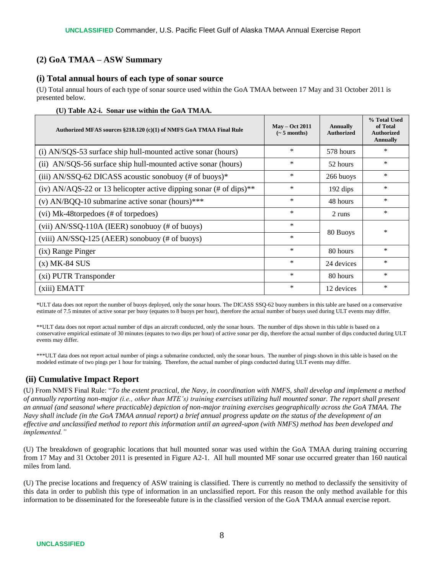# **(2) GoA TMAA – ASW Summary**

#### **(i) Total annual hours of each type of sonar source**

(U) Total annual hours of each type of sonar source used within the GoA TMAA between 17 May and 31 October 2011 is presented below.

| Authorized MFAS sources §218.120 (c)(1) of NMFS GoA TMAA Final Rule             | $May - Oct 2011$<br>$\sim$ 5 months) | <b>Annually</b><br><b>Authorized</b> | % Total Used<br>of Total<br><b>Authorized</b><br><b>Annually</b> |
|---------------------------------------------------------------------------------|--------------------------------------|--------------------------------------|------------------------------------------------------------------|
| (i) AN/SQS-53 surface ship hull-mounted active sonar (hours)                    | $\ast$                               | 578 hours                            | ∗                                                                |
| (ii) AN/SQS-56 surface ship hull-mounted active sonar (hours)                   | $\ast$                               | 52 hours                             | $\ast$                                                           |
| (iii) AN/SSQ-62 DICASS acoustic sonobuoy $(\# \text{ of buoy})^*$               | $\ast$                               | 266 buoys                            | *                                                                |
| (iv) AN/AQS-22 or 13 helicopter active dipping sonar $(\# \text{ of } disp)$ ** | $\ast$                               | 192 dips                             | ∗                                                                |
| (v) AN/BQQ-10 submarine active sonar (hours)***                                 | $\ast$                               | 48 hours                             | ∗                                                                |
| (vi) Mk-48 torpedoes (# of torpedoes)                                           | $\ast$                               | 2 runs                               | $\ast$                                                           |
| (vii) AN/SSQ-110A (IEER) sonobuoy (# of buoys)                                  | $\ast$                               |                                      | ∗                                                                |
| $(viii)$ AN/SSQ-125 (AEER) sonobuoy (# of buoys)                                | $\ast$                               | 80 Buoys                             |                                                                  |
| (ix) Range Pinger                                                               | $\ast$                               | 80 hours                             | $\ast$                                                           |
| $(x)$ MK-84 SUS                                                                 | *                                    | 24 devices                           | $\ast$                                                           |
| (xi) PUTR Transponder                                                           | $\ast$                               | 80 hours                             | ∗                                                                |
| (xiii) EMATT                                                                    | $\ast$                               | 12 devices                           | ∗                                                                |

#### **(U) Table A2-i. Sonar use within the GoA TMAA.**

\*ULT data does not report the number of buoys deployed, only the sonar hours. The DICASS SSQ-62 buoy numbers in this table are based on a conservative estimate of 7.5 minutes of active sonar per buoy (equates to 8 buoys per hour), therefore the actual number of buoys used during ULT events may differ.

\*\*ULT data does not report actual number of dips an aircraft conducted, only the sonar hours. The number of dips shown in this table is based on a conservative empirical estimate of 30 minutes (equates to two dips per hour) of active sonar per dip, therefore the actual number of dips conducted during ULT events may differ.

\*\*\*ULT data does not report actual number of pings a submarine conducted, only the sonar hours. The number of pings shown in this table is based on the modeled estimate of two pings per 1 hour for training. Therefore, the actual number of pings conducted during ULT events may differ.

## **(ii) Cumulative Impact Report**

(U) From NMFS Final Rule: "*To the extent practical, the Navy, in coordination with NMFS, shall develop and implement a method of annually reporting non-major (i.e., other than MTE's) training exercises utilizing hull mounted sonar. The report shall present an annual (and seasonal where practicable) depiction of non-major training exercises geographically across the GoA TMAA. The Navy shall include (in the GoA TMAA annual report) a brief annual progress update on the status of the development of an effective and unclassified method to report this information until an agreed-upon (with NMFS) method has been developed and implemented."*

(U) The breakdown of geographic locations that hull mounted sonar was used within the GoA TMAA during training occurring from 17 May and 31 October 2011 is presented in Figure A2-1. All hull mounted MF sonar use occurred greater than 160 nautical miles from land.

(U) The precise locations and frequency of ASW training is classified. There is currently no method to declassify the sensitivity of this data in order to publish this type of information in an unclassified report. For this reason the only method available for this information to be disseminated for the foreseeable future is in the classified version of the GoA TMAA annual exercise report.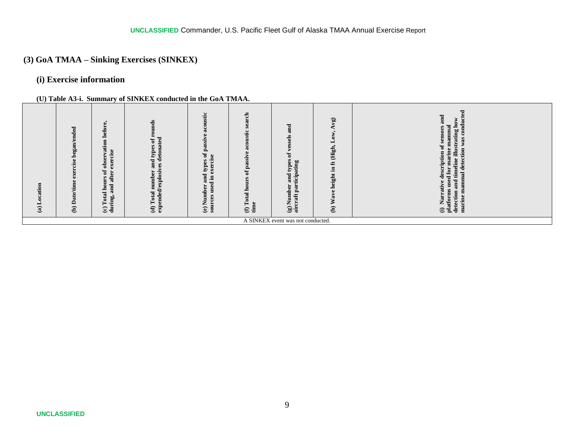# **(3) GoA TMAA – Sinking Exercises (SINKEX)**

## **(i) Exercise information**

#### **(U) Table A3-i. Summary of SINKEX conducted in the GoA TMAA.**

| ation<br>$\mathbf{a}$ | ded<br>$e$ gan/eı<br>cise b<br>τ<br>Š<br><b>Date/time</b><br>$\widehat{\mathbf{e}}$ | efore.<br>Č<br>vation<br>exercise<br>obser<br>ð<br>and after<br>hours<br>Total<br>(c) Total<br>during, | umds<br>$\bullet$<br>$\mathbf{E}$<br>$\mathfrak{a}$<br>pes<br>$\overline{a}$<br>Þ<br>ತ<br>ರ<br>and<br>£<br>£<br>xplosi<br>numb<br>ā<br>ded<br>Total<br>ā<br><b>Exp</b><br>$\widehat{\mathbf{c}}$ | stic<br>passi<br>$\mathbf{f}$<br>$\mathbf{e}$<br>types<br>exerci<br>and<br>드.<br>used<br>umber<br>(e) Num<br>sources<br>Z | 뒴<br>tic<br>Ù.<br>Total<br>$\in \mathbf{E}$ | 됳<br>eis<br>ਠ<br>S<br>types<br>ating<br>and<br>ticip<br>Number<br>par<br>raft<br>$\mathbf{a}$ | $\widehat{\mathbf{a}}$<br>(High,<br>$\ddot{}$<br>.크<br>eight<br>$\overline{\mathbf{a}}$<br>⋧<br>$\widehat{\mathbf{e}}$ | was conducted<br>뎔<br>mammal<br>illustrating h<br>sensors<br>$\sigma$<br>detection<br>marine<br>scription<br>timeline<br>$\mathbf{for}$<br>mammal<br>ಕೆ<br>used<br>and<br>Narrative<br>platforms<br>detection<br>marine<br>$\widehat{\mathbf{c}}$ |  |  |
|-----------------------|-------------------------------------------------------------------------------------|--------------------------------------------------------------------------------------------------------|--------------------------------------------------------------------------------------------------------------------------------------------------------------------------------------------------|---------------------------------------------------------------------------------------------------------------------------|---------------------------------------------|-----------------------------------------------------------------------------------------------|------------------------------------------------------------------------------------------------------------------------|---------------------------------------------------------------------------------------------------------------------------------------------------------------------------------------------------------------------------------------------------|--|--|
|                       | A SINKEX event was not conducted.                                                   |                                                                                                        |                                                                                                                                                                                                  |                                                                                                                           |                                             |                                                                                               |                                                                                                                        |                                                                                                                                                                                                                                                   |  |  |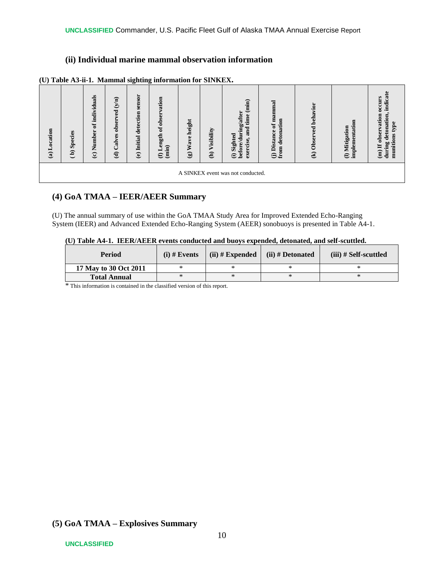#### **(ii) Individual marine mammal observation information**

| (a) Location | Species<br>$\widehat{\mathbf{a}}$<br>$\overline{\phantom{0}}$ | individuals<br>đ<br>Number<br>$\hat{\mathbf{c}}$ | $\left(\mathbf{u}/\mathbf{A}\right)$<br>$\mathbf{g}$<br>⋝<br>obser<br>Calves<br>$\widehat{\mathbf{c}}$ | sensor<br>(e) Initial detection | of observation<br>ength<br>(imin)<br>⊣<br>$\boldsymbol{\oplus}$ | height<br>Wave<br>$\odot$ | Visibility<br>$\widehat{\mathbf{a}}$ | (min)<br>before/during/after<br>time<br>and<br>ᇢ<br>exercise<br>Sight<br>$\widehat{\Xi}$ | mammal<br>detonation<br>$\bullet$<br><b>Distance</b><br>from<br>⊖ | ed behavior<br>$(k)$ Obser | $\sin$<br>Mitigation<br>implementati<br>$\ominus$ | detonation, indicate<br><b>occurs</b><br>observation<br>type<br>munitions<br>during<br>Ħ<br>$\widehat{\mathbf{g}}$ |
|--------------|---------------------------------------------------------------|--------------------------------------------------|--------------------------------------------------------------------------------------------------------|---------------------------------|-----------------------------------------------------------------|---------------------------|--------------------------------------|------------------------------------------------------------------------------------------|-------------------------------------------------------------------|----------------------------|---------------------------------------------------|--------------------------------------------------------------------------------------------------------------------|
|              | A SINKEX event was not conducted.                             |                                                  |                                                                                                        |                                 |                                                                 |                           |                                      |                                                                                          |                                                                   |                            |                                                   |                                                                                                                    |

**(U) Table A3-ii-1. Mammal sighting information for SINKEX.**

## **(4) GoA TMAA – IEER/AEER Summary**

(U) The annual summary of use within the GoA TMAA Study Area for Improved Extended Echo-Ranging System (IEER) and Advanced Extended Echo-Ranging System (AEER) sonobuoys is presented in Table A4-1.

#### **(U) Table A4-1. IEER/AEER events conducted and buoys expended, detonated, and self-scuttled.**

| <b>Period</b>         | $(i)$ # Events |     | $(ii)$ # Expended   (ii) # Detonated | $(iii)$ # Self-scuttled |
|-----------------------|----------------|-----|--------------------------------------|-------------------------|
| 17 May to 30 Oct 2011 | *              | ∗   |                                      | *                       |
| <b>Total Annual</b>   | *              | $*$ |                                      | ∗                       |

\* This information is contained in the classified version of this report.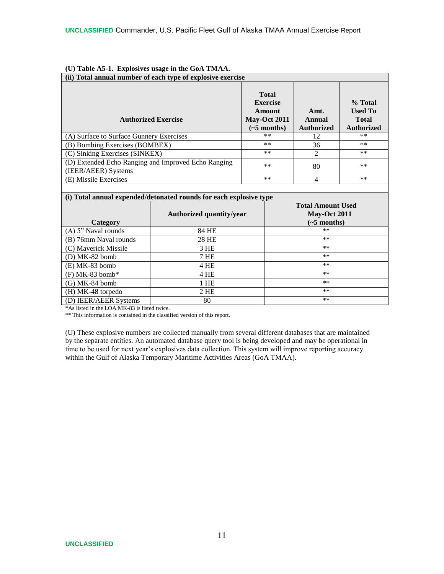| (ii) Total annual number of each type of explosive exercise                |                                                                    |                                                                                   |                                     |                                                                |  |  |  |  |  |  |
|----------------------------------------------------------------------------|--------------------------------------------------------------------|-----------------------------------------------------------------------------------|-------------------------------------|----------------------------------------------------------------|--|--|--|--|--|--|
|                                                                            | <b>Authorized Exercise</b>                                         | <b>Total</b><br><b>Exercise</b><br>Amount<br><b>May-Oct 2011</b><br>$(-5$ months) | Amt.<br>Annual<br><b>Authorized</b> | % Total<br><b>Used To</b><br><b>Total</b><br><b>Authorized</b> |  |  |  |  |  |  |
| (A) Surface to Surface Gunnery Exercises                                   |                                                                    | $**$                                                                              | 12                                  | $***$                                                          |  |  |  |  |  |  |
| (B) Bombing Exercises (BOMBEX)                                             |                                                                    | $***$                                                                             | 36                                  | $***$                                                          |  |  |  |  |  |  |
| (C) Sinking Exercises (SINKEX)                                             |                                                                    | $***$                                                                             | 2                                   | $***$                                                          |  |  |  |  |  |  |
| (D) Extended Echo Ranging and Improved Echo Ranging<br>(IEER/AEER) Systems |                                                                    | $**$                                                                              | 80                                  | $***$                                                          |  |  |  |  |  |  |
| (E) Missile Exercises                                                      |                                                                    | **                                                                                | 4                                   | **                                                             |  |  |  |  |  |  |
|                                                                            |                                                                    |                                                                                   |                                     |                                                                |  |  |  |  |  |  |
|                                                                            | (i) Total annual expended/detonated rounds for each explosive type |                                                                                   |                                     |                                                                |  |  |  |  |  |  |
| Category                                                                   | <b>Authorized quantity/year</b>                                    | <b>Total Amount Used</b><br>May-Oct 2011<br>$(\sim 5$ months)                     |                                     |                                                                |  |  |  |  |  |  |
| (A) 5" Naval rounds                                                        | 84 HE                                                              | $**$                                                                              |                                     |                                                                |  |  |  |  |  |  |
| (B) 76mm Naval rounds                                                      | 28 HE                                                              | $**$                                                                              |                                     |                                                                |  |  |  |  |  |  |
| (C) Maverick Missile                                                       | 3 HE                                                               |                                                                                   | $**$                                |                                                                |  |  |  |  |  |  |

#### **(U) Table A5-1. Explosives usage in the GoA TMAA.**

(C) Maverick Missile  $^{**}$  $7 \text{ HE}$  \*\*<br>
(F) MK-82 bomb 7 HE \*\*  $(E)$  MK-83 bomb  $4$  HE  $4 \text{ HE}$  \*\*  $1 \text{ HE}$  \*\*<br>
(H) MK-48 tornedo  $2 \text{ HE}$  \*\* (H) MK-48 torpedo 2 HE  $^{**}$ <br>
(D) IEER/AEER Systems 80  $^{**}$ (D) IEER/AEER Systems 80

\*As listed in the LOA MK-83 is listed twice.

\*\* This information is contained in the classified version of this report.

(U) These explosive numbers are collected manually from several different databases that are maintained by the separate entities. An automated database query tool is being developed and may be operational in time to be used for next year's explosives data collection. This system will improve reporting accuracy within the Gulf of Alaska Temporary Maritime Activities Areas (GoA TMAA).